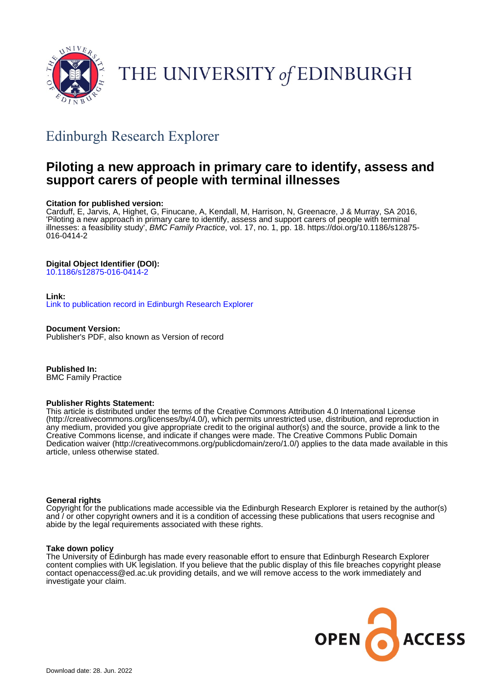

# THE UNIVERSITY of EDINBURGH

## Edinburgh Research Explorer

### **Piloting a new approach in primary care to identify, assess and support carers of people with terminal illnesses**

### **Citation for published version:**

Carduff, E, Jarvis, A, Highet, G, Finucane, A, Kendall, M, Harrison, N, Greenacre, J & Murray, SA 2016, 'Piloting a new approach in primary care to identify, assess and support carers of people with terminal illnesses: a feasibility study', BMC Family Practice, vol. 17, no. 1, pp. 18. [https://doi.org/10.1186/s12875-](https://doi.org/10.1186/s12875-016-0414-2) [016-0414-2](https://doi.org/10.1186/s12875-016-0414-2)

#### **Digital Object Identifier (DOI):**

[10.1186/s12875-016-0414-2](https://doi.org/10.1186/s12875-016-0414-2)

#### **Link:**

[Link to publication record in Edinburgh Research Explorer](https://www.research.ed.ac.uk/en/publications/c5eaa458-644c-412f-82c8-82a2b9a0f759)

**Document Version:** Publisher's PDF, also known as Version of record

**Published In:** BMC Family Practice

#### **Publisher Rights Statement:**

This article is distributed under the terms of the Creative Commons Attribution 4.0 International License (http://creativecommons.org/licenses/by/4.0/), which permits unrestricted use, distribution, and reproduction in any medium, provided you give appropriate credit to the original author(s) and the source, provide a link to the Creative Commons license, and indicate if changes were made. The Creative Commons Public Domain Dedication waiver (http://creativecommons.org/publicdomain/zero/1.0/) applies to the data made available in this article, unless otherwise stated.

#### **General rights**

Copyright for the publications made accessible via the Edinburgh Research Explorer is retained by the author(s) and / or other copyright owners and it is a condition of accessing these publications that users recognise and abide by the legal requirements associated with these rights.

#### **Take down policy**

The University of Edinburgh has made every reasonable effort to ensure that Edinburgh Research Explorer content complies with UK legislation. If you believe that the public display of this file breaches copyright please contact openaccess@ed.ac.uk providing details, and we will remove access to the work immediately and investigate your claim.

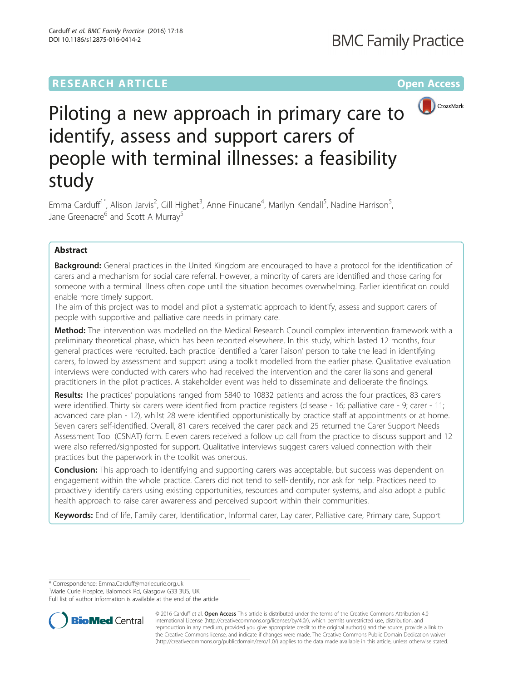

# Piloting a new approach in primary care to identify, assess and support carers of people with terminal illnesses: a feasibility study

Emma Carduff<sup>1\*</sup>, Alison Jarvis<sup>2</sup>, Gill Highet<sup>3</sup>, Anne Finucane<sup>4</sup>, Marilyn Kendall<sup>5</sup>, Nadine Harrison<sup>5</sup> , Jane Greenacre<sup>6</sup> and Scott A Murray<sup>5</sup>

#### Abstract

**Background:** General practices in the United Kingdom are encouraged to have a protocol for the identification of carers and a mechanism for social care referral. However, a minority of carers are identified and those caring for someone with a terminal illness often cope until the situation becomes overwhelming. Earlier identification could enable more timely support.

The aim of this project was to model and pilot a systematic approach to identify, assess and support carers of people with supportive and palliative care needs in primary care.

**Method:** The intervention was modelled on the Medical Research Council complex intervention framework with a preliminary theoretical phase, which has been reported elsewhere. In this study, which lasted 12 months, four general practices were recruited. Each practice identified a 'carer liaison' person to take the lead in identifying carers, followed by assessment and support using a toolkit modelled from the earlier phase. Qualitative evaluation interviews were conducted with carers who had received the intervention and the carer liaisons and general practitioners in the pilot practices. A stakeholder event was held to disseminate and deliberate the findings.

Results: The practices' populations ranged from 5840 to 10832 patients and across the four practices, 83 carers were identified. Thirty six carers were identified from practice registers (disease - 16; palliative care - 9; carer - 11; advanced care plan - 12), whilst 28 were identified opportunistically by practice staff at appointments or at home. Seven carers self-identified. Overall, 81 carers received the carer pack and 25 returned the Carer Support Needs Assessment Tool (CSNAT) form. Eleven carers received a follow up call from the practice to discuss support and 12 were also referred/signposted for support. Qualitative interviews suggest carers valued connection with their practices but the paperwork in the toolkit was onerous.

**Conclusion:** This approach to identifying and supporting carers was acceptable, but success was dependent on engagement within the whole practice. Carers did not tend to self-identify, nor ask for help. Practices need to proactively identify carers using existing opportunities, resources and computer systems, and also adopt a public health approach to raise carer awareness and perceived support within their communities.

Keywords: End of life, Family carer, Identification, Informal carer, Lay carer, Palliative care, Primary care, Support

\* Correspondence: [Emma.Carduff@mariecurie.org.uk](mailto:Emma.Carduff@mariecurie.org.uk) <sup>1</sup>

Marie Curie Hospice, Balornock Rd, Glasgow G33 3US, UK

Full list of author information is available at the end of the article



© 2016 Carduff et al. Open Access This article is distributed under the terms of the Creative Commons Attribution 4.0 International License [\(http://creativecommons.org/licenses/by/4.0/](http://creativecommons.org/licenses/by/4.0/)), which permits unrestricted use, distribution, and reproduction in any medium, provided you give appropriate credit to the original author(s) and the source, provide a link to the Creative Commons license, and indicate if changes were made. The Creative Commons Public Domain Dedication waiver [\(http://creativecommons.org/publicdomain/zero/1.0/](http://creativecommons.org/publicdomain/zero/1.0/)) applies to the data made available in this article, unless otherwise stated.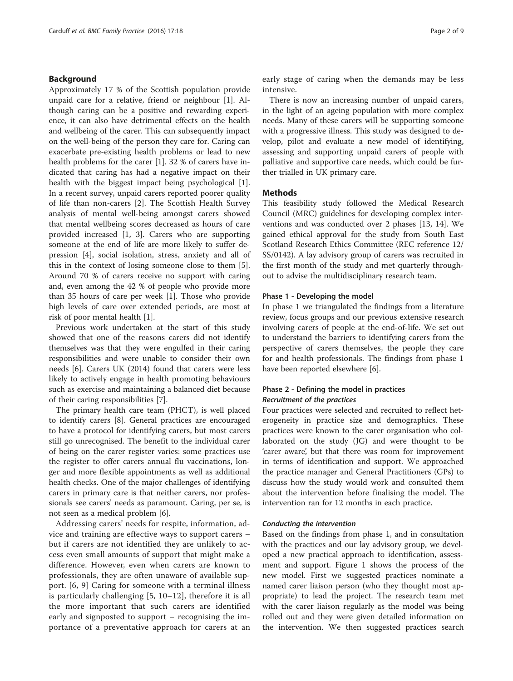#### Background

Approximately 17 % of the Scottish population provide unpaid care for a relative, friend or neighbour [[1\]](#page-9-0). Although caring can be a positive and rewarding experience, it can also have detrimental effects on the health and wellbeing of the carer. This can subsequently impact on the well-being of the person they care for. Caring can exacerbate pre-existing health problems or lead to new health problems for the carer [\[1](#page-9-0)]. 32 % of carers have indicated that caring has had a negative impact on their health with the biggest impact being psychological [\[1](#page-9-0)]. In a recent survey, unpaid carers reported poorer quality of life than non-carers [\[2](#page-9-0)]. The Scottish Health Survey analysis of mental well-being amongst carers showed that mental wellbeing scores decreased as hours of care provided increased [\[1](#page-9-0), [3\]](#page-9-0). Carers who are supporting someone at the end of life are more likely to suffer depression [[4\]](#page-9-0), social isolation, stress, anxiety and all of this in the context of losing someone close to them [\[5](#page-9-0)]. Around 70 % of carers receive no support with caring and, even among the 42 % of people who provide more than 35 hours of care per week [\[1\]](#page-9-0). Those who provide high levels of care over extended periods, are most at risk of poor mental health [[1\]](#page-9-0).

Previous work undertaken at the start of this study showed that one of the reasons carers did not identify themselves was that they were engulfed in their caring responsibilities and were unable to consider their own needs [[6\]](#page-9-0). Carers UK (2014) found that carers were less likely to actively engage in health promoting behaviours such as exercise and maintaining a balanced diet because of their caring responsibilities [[7](#page-9-0)].

The primary health care team (PHCT), is well placed to identify carers [[8\]](#page-9-0). General practices are encouraged to have a protocol for identifying carers, but most carers still go unrecognised. The benefit to the individual carer of being on the carer register varies: some practices use the register to offer carers annual flu vaccinations, longer and more flexible appointments as well as additional health checks. One of the major challenges of identifying carers in primary care is that neither carers, nor professionals see carers' needs as paramount. Caring, per se, is not seen as a medical problem [[6\]](#page-9-0).

Addressing carers' needs for respite, information, advice and training are effective ways to support carers – but if carers are not identified they are unlikely to access even small amounts of support that might make a difference. However, even when carers are known to professionals, they are often unaware of available support. [[6, 9\]](#page-9-0) Caring for someone with a terminal illness is particularly challenging [\[5, 10](#page-9-0)–[12\]](#page-9-0), therefore it is all the more important that such carers are identified early and signposted to support – recognising the importance of a preventative approach for carers at an early stage of caring when the demands may be less intensive.

There is now an increasing number of unpaid carers, in the light of an ageing population with more complex needs. Many of these carers will be supporting someone with a progressive illness. This study was designed to develop, pilot and evaluate a new model of identifying, assessing and supporting unpaid carers of people with palliative and supportive care needs, which could be further trialled in UK primary care.

#### Methods

This feasibility study followed the Medical Research Council (MRC) guidelines for developing complex interventions and was conducted over 2 phases [[13, 14](#page-9-0)]. We gained ethical approval for the study from South East Scotland Research Ethics Committee (REC reference 12/ SS/0142). A lay advisory group of carers was recruited in the first month of the study and met quarterly throughout to advise the multidisciplinary research team.

#### Phase 1 - Developing the model

In phase 1 we triangulated the findings from a literature review, focus groups and our previous extensive research involving carers of people at the end-of-life. We set out to understand the barriers to identifying carers from the perspective of carers themselves, the people they care for and health professionals. The findings from phase 1 have been reported elsewhere [\[6](#page-9-0)].

#### Phase 2 - Defining the model in practices Recruitment of the practices

Four practices were selected and recruited to reflect heterogeneity in practice size and demographics. These practices were known to the carer organisation who collaborated on the study (JG) and were thought to be 'carer aware', but that there was room for improvement in terms of identification and support. We approached the practice manager and General Practitioners (GPs) to discuss how the study would work and consulted them about the intervention before finalising the model. The intervention ran for 12 months in each practice.

#### Conducting the intervention

Based on the findings from phase 1, and in consultation with the practices and our lay advisory group, we developed a new practical approach to identification, assessment and support. Figure [1](#page-3-0) shows the process of the new model. First we suggested practices nominate a named carer liaison person (who they thought most appropriate) to lead the project. The research team met with the carer liaison regularly as the model was being rolled out and they were given detailed information on the intervention. We then suggested practices search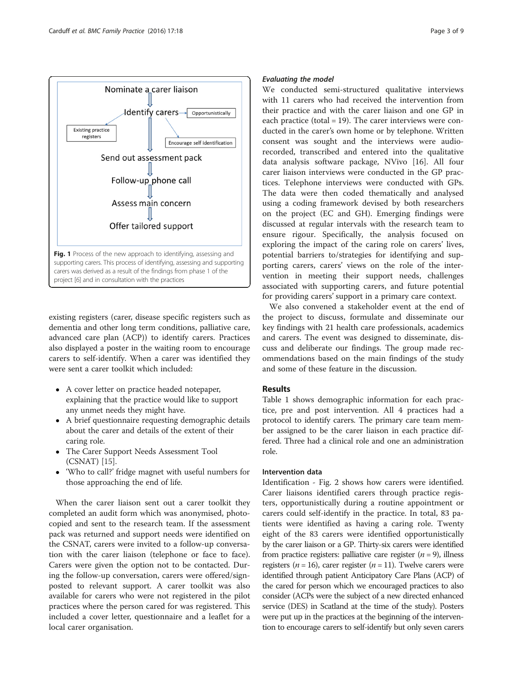<span id="page-3-0"></span>

existing registers (carer, disease specific registers such as dementia and other long term conditions, palliative care, advanced care plan (ACP)) to identify carers. Practices also displayed a poster in the waiting room to encourage carers to self-identify. When a carer was identified they were sent a carer toolkit which included:

- A cover letter on practice headed notepaper, explaining that the practice would like to support any unmet needs they might have.
- A brief questionnaire requesting demographic details about the carer and details of the extent of their caring role.
- The Carer Support Needs Assessment Tool (CSNAT) [[15\]](#page-9-0).
- 'Who to call?' fridge magnet with useful numbers for those approaching the end of life.

When the carer liaison sent out a carer toolkit they completed an audit form which was anonymised, photocopied and sent to the research team. If the assessment pack was returned and support needs were identified on the CSNAT, carers were invited to a follow-up conversation with the carer liaison (telephone or face to face). Carers were given the option not to be contacted. During the follow-up conversation, carers were offered/signposted to relevant support. A carer toolkit was also available for carers who were not registered in the pilot practices where the person cared for was registered. This included a cover letter, questionnaire and a leaflet for a local carer organisation.

#### Evaluating the model

We conducted semi-structured qualitative interviews with 11 carers who had received the intervention from their practice and with the carer liaison and one GP in each practice (total = 19). The carer interviews were conducted in the carer's own home or by telephone. Written consent was sought and the interviews were audiorecorded, transcribed and entered into the qualitative data analysis software package, NVivo [\[16](#page-9-0)]. All four carer liaison interviews were conducted in the GP practices. Telephone interviews were conducted with GPs. The data were then coded thematically and analysed using a coding framework devised by both researchers on the project (EC and GH). Emerging findings were discussed at regular intervals with the research team to ensure rigour. Specifically, the analysis focused on exploring the impact of the caring role on carers' lives, potential barriers to/strategies for identifying and supporting carers, carers' views on the role of the intervention in meeting their support needs, challenges associated with supporting carers, and future potential for providing carers' support in a primary care context.

We also convened a stakeholder event at the end of the project to discuss, formulate and disseminate our key findings with 21 health care professionals, academics and carers. The event was designed to disseminate, discuss and deliberate our findings. The group made recommendations based on the main findings of the study and some of these feature in the discussion.

#### Results

Table [1](#page-4-0) shows demographic information for each practice, pre and post intervention. All 4 practices had a protocol to identify carers. The primary care team member assigned to be the carer liaison in each practice differed. Three had a clinical role and one an administration role.

#### Intervention data

Identification - Fig. [2](#page-5-0) shows how carers were identified. Carer liaisons identified carers through practice registers, opportunistically during a routine appointment or carers could self-identify in the practice. In total, 83 patients were identified as having a caring role. Twenty eight of the 83 carers were identified opportunistically by the carer liaison or a GP. Thirty-six carers were identified from practice registers: palliative care register  $(n = 9)$ , illness registers ( $n = 16$ ), carer register ( $n = 11$ ). Twelve carers were identified through patient Anticipatory Care Plans (ACP) of the cared for person which we encouraged practices to also consider (ACPs were the subject of a new directed enhanced service (DES) in Scatland at the time of the study). Posters were put up in the practices at the beginning of the intervention to encourage carers to self-identify but only seven carers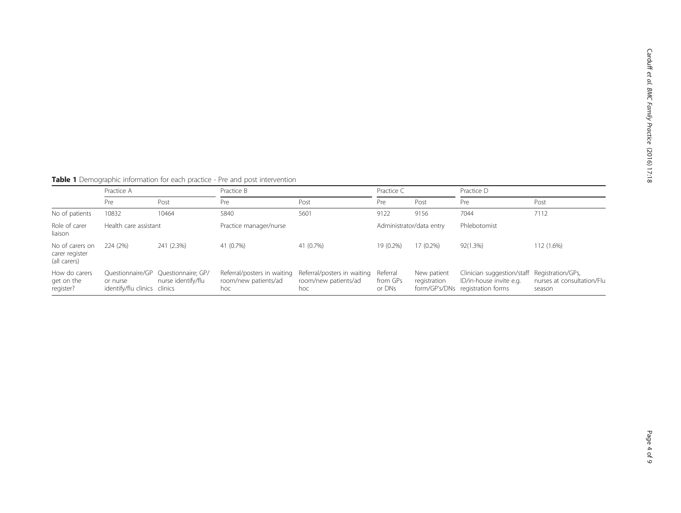<span id="page-4-0"></span>Table 1 Demographic information for each practice - Pre and post intervention

|                                                   | Practice A                               |                                                           | Practice B                                                 |                                                            | Practice C                     |                             | Practice D                                                                                                  |                                      |
|---------------------------------------------------|------------------------------------------|-----------------------------------------------------------|------------------------------------------------------------|------------------------------------------------------------|--------------------------------|-----------------------------|-------------------------------------------------------------------------------------------------------------|--------------------------------------|
|                                                   | Pre                                      | Post                                                      | Pre                                                        | Post                                                       | Pre                            | Post                        | Pre                                                                                                         | Post                                 |
| No of patients                                    | 10832                                    | 10464                                                     | 5840                                                       | 5601                                                       | 9122                           | 9156                        | 7044                                                                                                        | 7112                                 |
| Role of carer<br>liaison                          | Health care assistant                    |                                                           | Practice manager/nurse                                     |                                                            | Administrator/data entry       |                             | Phlebotomist                                                                                                |                                      |
| No of carers on<br>carer register<br>(all carers) | 224 (2%)                                 | 241 (2.3%)                                                | 41 (0.7%)                                                  | 41 (0.7%)                                                  | 19 (0.2%)                      | 17 (0.2%)                   | 92(1.3%)                                                                                                    | 112 (1.6%)                           |
| How do carers<br>get on the<br>register?          | or nurse<br>identify/flu clinics clinics | Questionnaire/GP Questionnaire; GP/<br>nurse identify/flu | Referral/posters in waiting<br>room/new patients/ad<br>hoc | Referral/posters in waiting<br>room/new patients/ad<br>hoc | Referral<br>from GPs<br>or DNs | New patient<br>registration | Clinician suggestion/staff Registration/GPs,<br>ID/in-house invite e.g.<br>form/GP's/DNs registration forms | nurses at consultation/Flu<br>season |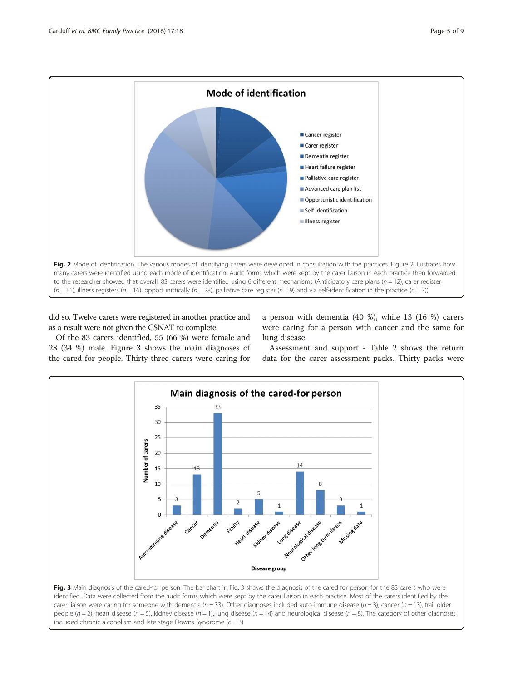<span id="page-5-0"></span>

did so. Twelve carers were registered in another practice and as a result were not given the CSNAT to complete.

a person with dementia (40 %), while 13 (16 %) carers were caring for a person with cancer and the same for lung disease.

Of the 83 carers identified, 55 (66 %) were female and 28 (34 %) male. Figure 3 shows the main diagnoses of the cared for people. Thirty three carers were caring for

Assessment and support - Table [2](#page-6-0) shows the return data for the carer assessment packs. Thirty packs were



Fig. 3 Main diagnosis of the cared-for person. The bar chart in Fig. 3 shows the diagnosis of the cared for person for the 83 carers who were identified. Data were collected from the audit forms which were kept by the carer liaison in each practice. Most of the carers identified by the carer liaison were caring for someone with dementia ( $n = 33$ ). Other diagnoses included auto-immune disease ( $n = 3$ ), cancer ( $n = 13$ ), frail older people ( $n = 2$ ), heart disease ( $n = 5$ ), kidney disease ( $n = 1$ ), lung disease ( $n = 14$ ) and neurological disease ( $n = 8$ ). The category of other diagnoses included chronic alcoholism and late stage Downs Syndrome ( $n = 3$ )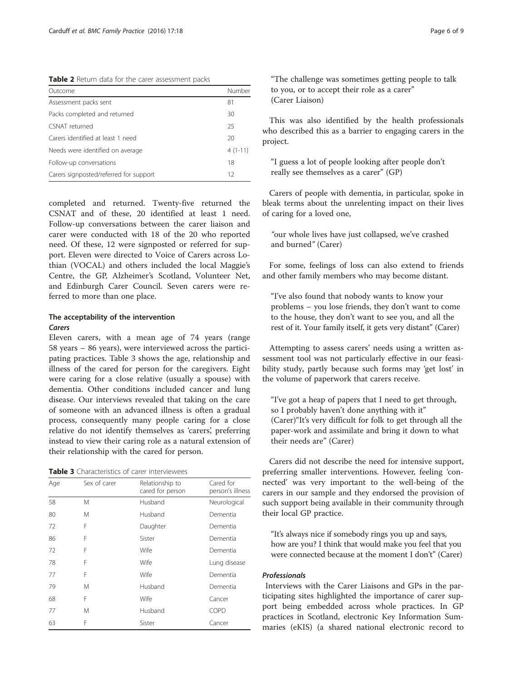<span id="page-6-0"></span>Table 2 Return data for the carer assessment packs

| Outcome                                | Number    |
|----------------------------------------|-----------|
| Assessment packs sent                  | 81        |
| Packs completed and returned           | 30        |
| CSNAT returned                         | 25        |
| Carers identified at least 1 need      | 20        |
| Needs were identified on average       | $4(1-11)$ |
| Follow-up conversations                | 18        |
| Carers signposted/referred for support | 12        |

completed and returned. Twenty-five returned the CSNAT and of these, 20 identified at least 1 need. Follow-up conversations between the carer liaison and carer were conducted with 18 of the 20 who reported need. Of these, 12 were signposted or referred for support. Eleven were directed to Voice of Carers across Lothian (VOCAL) and others included the local Maggie's Centre, the GP, Alzheimer's Scotland, Volunteer Net, and Edinburgh Carer Council. Seven carers were referred to more than one place.

#### The acceptability of the intervention Carers

Eleven carers, with a mean age of 74 years (range 58 years – 86 years), were interviewed across the participating practices. Table 3 shows the age, relationship and illness of the cared for person for the caregivers. Eight were caring for a close relative (usually a spouse) with dementia. Other conditions included cancer and lung disease. Our interviews revealed that taking on the care of someone with an advanced illness is often a gradual process, consequently many people caring for a close relative do not identify themselves as 'carers', preferring instead to view their caring role as a natural extension of their relationship with the cared for person.

Table 3 Characteristics of carer interviewees

| Age | Sex of carer | Relationship to<br>cared for person | Cared for<br>person's illness |
|-----|--------------|-------------------------------------|-------------------------------|
| 58  | M            | Husband                             | Neurological                  |
| 80  | M            | Husband                             | Dementia                      |
| 72  | F            | Daughter                            | Dementia                      |
| 86  | F            | Sister                              | Dementia                      |
| 72  | F            | Wife                                | Dementia                      |
| 78  | F            | Wife                                | Lung disease                  |
| 77  | F            | Wife                                | Dementia                      |
| 79  | M            | Husband                             | Dementia                      |
| 68  | F            | Wife                                | Cancer                        |
| 77  | M            | Husband                             | <b>COPD</b>                   |
| 63  | F            | Sister                              | Cancer                        |

"The challenge was sometimes getting people to talk to you, or to accept their role as a carer" (Carer Liaison)

This was also identified by the health professionals who described this as a barrier to engaging carers in the project.

"I guess a lot of people looking after people don't really see themselves as a carer" (GP)

Carers of people with dementia, in particular, spoke in bleak terms about the unrelenting impact on their lives of caring for a loved one,

"our whole lives have just collapsed, we've crashed and burned" (Carer)

For some, feelings of loss can also extend to friends and other family members who may become distant.

"I've also found that nobody wants to know your problems – you lose friends, they don't want to come to the house, they don't want to see you, and all the rest of it. Your family itself, it gets very distant" (Carer)

Attempting to assess carers' needs using a written assessment tool was not particularly effective in our feasibility study, partly because such forms may 'get lost' in the volume of paperwork that carers receive.

"I've got a heap of papers that I need to get through, so I probably haven't done anything with it" (Carer)"It's very difficult for folk to get through all the paper-work and assimilate and bring it down to what their needs are" (Carer)

Carers did not describe the need for intensive support, preferring smaller interventions. However, feeling 'connected' was very important to the well-being of the carers in our sample and they endorsed the provision of such support being available in their community through their local GP practice.

"It's always nice if somebody rings you up and says, how are you? I think that would make you feel that you were connected because at the moment I don't" (Carer)

#### Professionals

Interviews with the Carer Liaisons and GPs in the participating sites highlighted the importance of carer support being embedded across whole practices. In GP practices in Scotland, electronic Key Information Summaries (eKIS) (a shared national electronic record to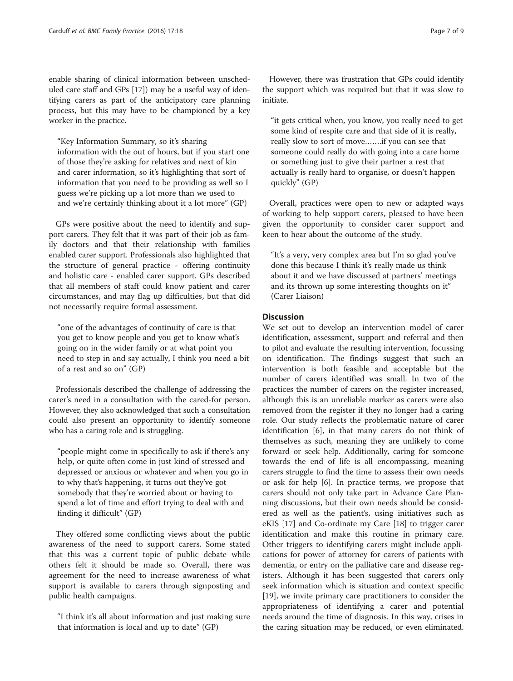enable sharing of clinical information between unscheduled care staff and GPs [[17\]](#page-9-0)) may be a useful way of identifying carers as part of the anticipatory care planning process, but this may have to be championed by a key worker in the practice.

"Key Information Summary, so it's sharing information with the out of hours, but if you start one of those they're asking for relatives and next of kin and carer information, so it's highlighting that sort of information that you need to be providing as well so I guess we're picking up a lot more than we used to and we're certainly thinking about it a lot more" (GP)

GPs were positive about the need to identify and support carers. They felt that it was part of their job as family doctors and that their relationship with families enabled carer support. Professionals also highlighted that the structure of general practice - offering continuity and holistic care - enabled carer support. GPs described that all members of staff could know patient and carer circumstances, and may flag up difficulties, but that did not necessarily require formal assessment.

"one of the advantages of continuity of care is that you get to know people and you get to know what's going on in the wider family or at what point you need to step in and say actually, I think you need a bit of a rest and so on" (GP)

Professionals described the challenge of addressing the carer's need in a consultation with the cared-for person. However, they also acknowledged that such a consultation could also present an opportunity to identify someone who has a caring role and is struggling.

"people might come in specifically to ask if there's any help, or quite often come in just kind of stressed and depressed or anxious or whatever and when you go in to why that's happening, it turns out they've got somebody that they're worried about or having to spend a lot of time and effort trying to deal with and finding it difficult" (GP)

They offered some conflicting views about the public awareness of the need to support carers. Some stated that this was a current topic of public debate while others felt it should be made so. Overall, there was agreement for the need to increase awareness of what support is available to carers through signposting and public health campaigns.

"I think it's all about information and just making sure that information is local and up to date" (GP)

However, there was frustration that GPs could identify the support which was required but that it was slow to initiate.

"it gets critical when, you know, you really need to get some kind of respite care and that side of it is really, really slow to sort of move…….if you can see that someone could really do with going into a care home or something just to give their partner a rest that actually is really hard to organise, or doesn't happen quickly" (GP)

Overall, practices were open to new or adapted ways of working to help support carers, pleased to have been given the opportunity to consider carer support and keen to hear about the outcome of the study.

"It's a very, very complex area but I'm so glad you've done this because I think it's really made us think about it and we have discussed at partners' meetings and its thrown up some interesting thoughts on it" (Carer Liaison)

#### Discussion

We set out to develop an intervention model of carer identification, assessment, support and referral and then to pilot and evaluate the resulting intervention, focussing on identification. The findings suggest that such an intervention is both feasible and acceptable but the number of carers identified was small. In two of the practices the number of carers on the register increased, although this is an unreliable marker as carers were also removed from the register if they no longer had a caring role. Our study reflects the problematic nature of carer identification [\[6](#page-9-0)], in that many carers do not think of themselves as such, meaning they are unlikely to come forward or seek help. Additionally, caring for someone towards the end of life is all encompassing, meaning carers struggle to find the time to assess their own needs or ask for help [\[6](#page-9-0)]. In practice terms, we propose that carers should not only take part in Advance Care Planning discussions, but their own needs should be considered as well as the patient's, using initiatives such as eKIS [[17](#page-9-0)] and Co-ordinate my Care [[18](#page-9-0)] to trigger carer identification and make this routine in primary care. Other triggers to identifying carers might include applications for power of attorney for carers of patients with dementia, or entry on the palliative care and disease registers. Although it has been suggested that carers only seek information which is situation and context specific [[19\]](#page-9-0), we invite primary care practitioners to consider the appropriateness of identifying a carer and potential needs around the time of diagnosis. In this way, crises in the caring situation may be reduced, or even eliminated.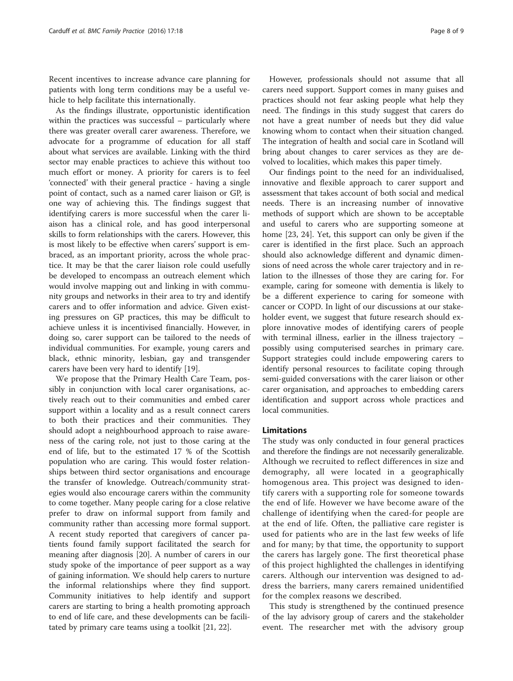Recent incentives to increase advance care planning for patients with long term conditions may be a useful vehicle to help facilitate this internationally.

As the findings illustrate, opportunistic identification within the practices was successful – particularly where there was greater overall carer awareness. Therefore, we advocate for a programme of education for all staff about what services are available. Linking with the third sector may enable practices to achieve this without too much effort or money. A priority for carers is to feel 'connected' with their general practice - having a single point of contact, such as a named carer liaison or GP, is one way of achieving this. The findings suggest that identifying carers is more successful when the carer liaison has a clinical role, and has good interpersonal skills to form relationships with the carers. However, this is most likely to be effective when carers' support is embraced, as an important priority, across the whole practice. It may be that the carer liaison role could usefully be developed to encompass an outreach element which would involve mapping out and linking in with community groups and networks in their area to try and identify carers and to offer information and advice. Given existing pressures on GP practices, this may be difficult to achieve unless it is incentivised financially. However, in doing so, carer support can be tailored to the needs of individual communities. For example, young carers and black, ethnic minority, lesbian, gay and transgender carers have been very hard to identify [\[19\]](#page-9-0).

We propose that the Primary Health Care Team, possibly in conjunction with local carer organisations, actively reach out to their communities and embed carer support within a locality and as a result connect carers to both their practices and their communities. They should adopt a neighbourhood approach to raise awareness of the caring role, not just to those caring at the end of life, but to the estimated 17 % of the Scottish population who are caring. This would foster relationships between third sector organisations and encourage the transfer of knowledge. Outreach/community strategies would also encourage carers within the community to come together. Many people caring for a close relative prefer to draw on informal support from family and community rather than accessing more formal support. A recent study reported that caregivers of cancer patients found family support facilitated the search for meaning after diagnosis [\[20](#page-9-0)]. A number of carers in our study spoke of the importance of peer support as a way of gaining information. We should help carers to nurture the informal relationships where they find support. Community initiatives to help identify and support carers are starting to bring a health promoting approach to end of life care, and these developments can be facilitated by primary care teams using a toolkit [[21, 22\]](#page-9-0).

However, professionals should not assume that all carers need support. Support comes in many guises and practices should not fear asking people what help they need. The findings in this study suggest that carers do not have a great number of needs but they did value knowing whom to contact when their situation changed. The integration of health and social care in Scotland will bring about changes to carer services as they are devolved to localities, which makes this paper timely.

Our findings point to the need for an individualised, innovative and flexible approach to carer support and assessment that takes account of both social and medical needs. There is an increasing number of innovative methods of support which are shown to be acceptable and useful to carers who are supporting someone at home [\[23](#page-9-0), [24](#page-9-0)]. Yet, this support can only be given if the carer is identified in the first place. Such an approach should also acknowledge different and dynamic dimensions of need across the whole carer trajectory and in relation to the illnesses of those they are caring for. For example, caring for someone with dementia is likely to be a different experience to caring for someone with cancer or COPD. In light of our discussions at our stakeholder event, we suggest that future research should explore innovative modes of identifying carers of people with terminal illness, earlier in the illness trajectory – possibly using computerised searches in primary care. Support strategies could include empowering carers to identify personal resources to facilitate coping through semi-guided conversations with the carer liaison or other carer organisation, and approaches to embedding carers identification and support across whole practices and local communities.

#### Limitations

The study was only conducted in four general practices and therefore the findings are not necessarily generalizable. Although we recruited to reflect differences in size and demography, all were located in a geographically homogenous area. This project was designed to identify carers with a supporting role for someone towards the end of life. However we have become aware of the challenge of identifying when the cared-for people are at the end of life. Often, the palliative care register is used for patients who are in the last few weeks of life and for many; by that time, the opportunity to support the carers has largely gone. The first theoretical phase of this project highlighted the challenges in identifying carers. Although our intervention was designed to address the barriers, many carers remained unidentified for the complex reasons we described.

This study is strengthened by the continued presence of the lay advisory group of carers and the stakeholder event. The researcher met with the advisory group